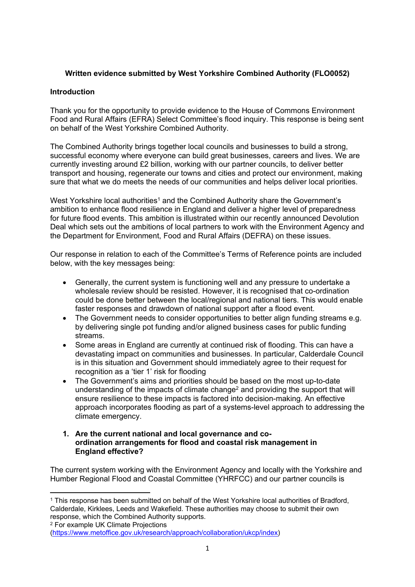# **Written evidence submitted by West Yorkshire Combined Authority (FLO0052)**

## **Introduction**

Thank you for the opportunity to provide evidence to the House of Commons Environment Food and Rural Affairs (EFRA) Select Committee's flood inquiry. This response is being sent on behalf of the West Yorkshire Combined Authority.

The Combined Authority brings together local councils and businesses to build a strong, successful economy where everyone can build great businesses, careers and lives. We are currently investing around £2 billion, working with our partner councils, to deliver better transport and housing, regenerate our towns and cities and protect our environment, making sure that what we do meets the needs of our communities and helps deliver local priorities.

West Yorkshire local authorities<sup>1</sup> and the Combined Authority share the Government's ambition to enhance flood resilience in England and deliver a higher level of preparedness for future flood events. This ambition is illustrated within our recently announced Devolution Deal which sets out the ambitions of local partners to work with the Environment Agency and the Department for Environment, Food and Rural Affairs (DEFRA) on these issues.

Our response in relation to each of the Committee's Terms of Reference points are included below, with the key messages being:

- Generally, the current system is functioning well and any pressure to undertake a wholesale review should be resisted. However, it is recognised that co-ordination could be done better between the local/regional and national tiers. This would enable faster responses and drawdown of national support after a flood event.
- The Government needs to consider opportunities to better align funding streams e.g. by delivering single pot funding and/or aligned business cases for public funding streams.
- Some areas in England are currently at continued risk of flooding. This can have a devastating impact on communities and businesses. In particular, Calderdale Council is in this situation and Government should immediately agree to their request for recognition as a 'tier 1' risk for flooding
- The Government's aims and priorities should be based on the most up-to-date understanding of the impacts of climate change<sup>2</sup> and providing the support that will ensure resilience to these impacts is factored into decision-making. An effective approach incorporates flooding as part of a systems-level approach to addressing the climate emergency.
- **1. Are the current national and local governance and coordination arrangements for flood and coastal risk management in England effective?**

The current system working with the Environment Agency and locally with the Yorkshire and Humber Regional Flood and Coastal Committee (YHRFCC) and our partner councils is

<sup>2</sup> For example UK Climate Projections

<sup>&</sup>lt;sup>1</sup> This response has been submitted on behalf of the West Yorkshire local authorities of Bradford, Calderdale, Kirklees, Leeds and Wakefield. These authorities may choose to submit their own response, which the Combined Authority supports.

[<sup>\(</sup>https://www.metoffice.gov.uk/research/approach/collaboration/ukcp/index\)](https://www.metoffice.gov.uk/research/approach/collaboration/ukcp/index)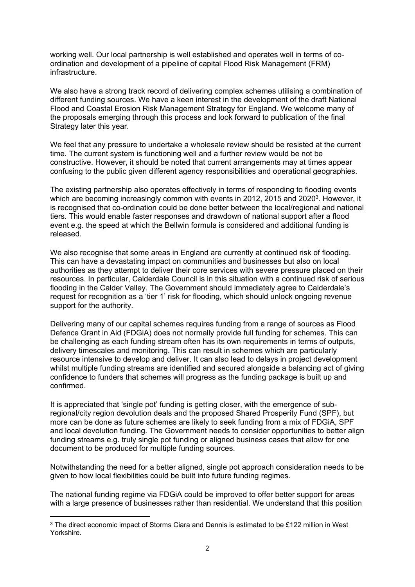working well. Our local partnership is well established and operates well in terms of coordination and development of a pipeline of capital Flood Risk Management (FRM) infrastructure.

We also have a strong track record of delivering complex schemes utilising a combination of different funding sources. We have a keen interest in the development of the draft National Flood and Coastal Erosion Risk Management Strategy for England. We welcome many of the proposals emerging through this process and look forward to publication of the final Strategy later this year.

We feel that any pressure to undertake a wholesale review should be resisted at the current time. The current system is functioning well and a further review would be not be constructive. However, it should be noted that current arrangements may at times appear confusing to the public given different agency responsibilities and operational geographies.

The existing partnership also operates effectively in terms of responding to flooding events which are becoming increasingly common with events in 2012, 2015 and 2020<sup>3</sup>. However, it is recognised that co-ordination could be done better between the local/regional and national tiers. This would enable faster responses and drawdown of national support after a flood event e.g. the speed at which the Bellwin formula is considered and additional funding is released.

We also recognise that some areas in England are currently at continued risk of flooding. This can have a devastating impact on communities and businesses but also on local authorities as they attempt to deliver their core services with severe pressure placed on their resources. In particular, Calderdale Council is in this situation with a continued risk of serious flooding in the Calder Valley. The Government should immediately agree to Calderdale's request for recognition as a 'tier 1' risk for flooding, which should unlock ongoing revenue support for the authority.

Delivering many of our capital schemes requires funding from a range of sources as Flood Defence Grant in Aid (FDGiA) does not normally provide full funding for schemes. This can be challenging as each funding stream often has its own requirements in terms of outputs, delivery timescales and monitoring. This can result in schemes which are particularly resource intensive to develop and deliver. It can also lead to delays in project development whilst multiple funding streams are identified and secured alongside a balancing act of giving confidence to funders that schemes will progress as the funding package is built up and confirmed.

It is appreciated that 'single pot' funding is getting closer, with the emergence of subregional/city region devolution deals and the proposed Shared Prosperity Fund (SPF), but more can be done as future schemes are likely to seek funding from a mix of FDGiA, SPF and local devolution funding. The Government needs to consider opportunities to better align funding streams e.g. truly single pot funding or aligned business cases that allow for one document to be produced for multiple funding sources.

Notwithstanding the need for a better aligned, single pot approach consideration needs to be given to how local flexibilities could be built into future funding regimes.

The national funding regime via FDGiA could be improved to offer better support for areas with a large presence of businesses rather than residential. We understand that this position

<sup>&</sup>lt;sup>3</sup> The direct economic impact of Storms Ciara and Dennis is estimated to be £122 million in West Yorkshire.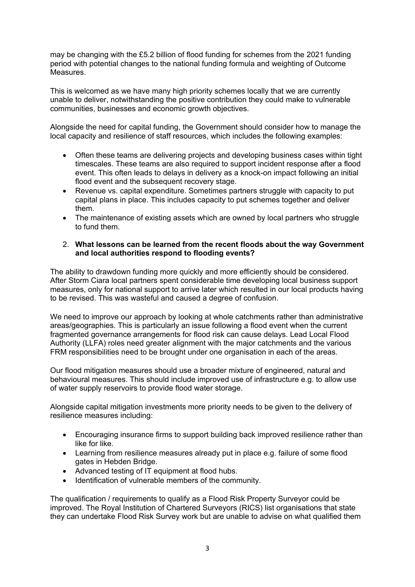may be changing with the £5.2 billion of flood funding for schemes from the 2021 funding period with potential changes to the national funding formula and weighting of Outcome Measures.

This is welcomed as we have many high priority schemes locally that we are currently unable to deliver, notwithstanding the positive contribution they could make to vulnerable communities, businesses and economic growth objectives.

Alongside the need for capital funding, the Government should consider how to manage the local capacity and resilience of staff resources, which includes the following examples:

- Often these teams are delivering projects and developing business cases within tight timescales. These teams are also required to support incident response after a flood event. This often leads to delays in delivery as a knock-on impact following an initial flood event and the subsequent recovery stage.
- Revenue vs. capital expenditure. Sometimes partners struggle with capacity to put capital plans in place. This includes capacity to put schemes together and deliver them.
- The maintenance of existing assets which are owned by local partners who struggle to fund them.

#### 2. **What lessons can be learned from the recent floods about the way Government and local authorities respond to flooding events?**

The ability to drawdown funding more quickly and more efficiently should be considered. After Storm Ciara local partners spent considerable time developing local business support measures, only for national support to arrive later which resulted in our local products having to be revised. This was wasteful and caused a degree of confusion.

We need to improve our approach by looking at whole catchments rather than administrative areas/geographies. This is particularly an issue following a flood event when the current fragmented governance arrangements for flood risk can cause delays. Lead Local Flood Authority (LLFA) roles need greater alignment with the major catchments and the various FRM responsibilities need to be brought under one organisation in each of the areas.

Our flood mitigation measures should use a broader mixture of engineered, natural and behavioural measures. This should include improved use of infrastructure e.g. to allow use of water supply reservoirs to provide flood water storage.

Alongside capital mitigation investments more priority needs to be given to the delivery of resilience measures including:

- Encouraging insurance firms to support building back improved resilience rather than like for like.
- Learning from resilience measures already put in place e.g. failure of some flood gates in Hebden Bridge.
- Advanced testing of IT equipment at flood hubs.
- Identification of vulnerable members of the community.

The qualification / requirements to qualify as a Flood Risk Property Surveyor could be improved. The Royal Institution of Chartered Surveyors (RICS) list organisations that state they can undertake Flood Risk Survey work but are unable to advise on what qualified them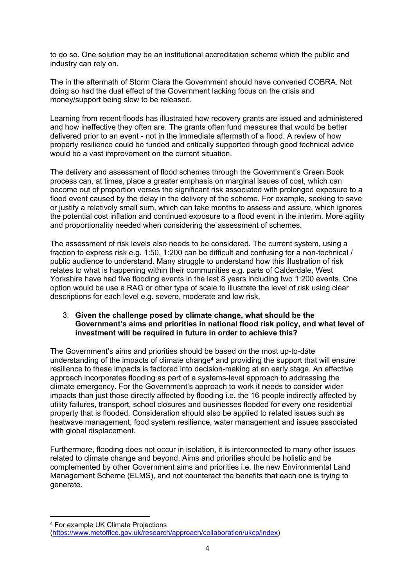to do so. One solution may be an institutional accreditation scheme which the public and industry can rely on.

The in the aftermath of Storm Ciara the Government should have convened COBRA. Not doing so had the dual effect of the Government lacking focus on the crisis and money/support being slow to be released.

Learning from recent floods has illustrated how recovery grants are issued and administered and how ineffective they often are. The grants often fund measures that would be better delivered prior to an event - not in the immediate aftermath of a flood. A review of how property resilience could be funded and critically supported through good technical advice would be a vast improvement on the current situation.

The delivery and assessment of flood schemes through the Government's Green Book process can, at times, place a greater emphasis on marginal issues of cost, which can become out of proportion verses the significant risk associated with prolonged exposure to a flood event caused by the delay in the delivery of the scheme. For example, seeking to save or justify a relatively small sum, which can take months to assess and assure, which ignores the potential cost inflation and continued exposure to a flood event in the interim. More agility and proportionality needed when considering the assessment of schemes.

The assessment of risk levels also needs to be considered. The current system, using a fraction to express risk e.g. 1:50, 1:200 can be difficult and confusing for a non-technical / public audience to understand. Many struggle to understand how this illustration of risk relates to what is happening within their communities e.g. parts of Calderdale, West Yorkshire have had five flooding events in the last 8 years including two 1:200 events. One option would be use a RAG or other type of scale to illustrate the level of risk using clear descriptions for each level e.g. severe, moderate and low risk.

#### 3. **Given the challenge posed by climate change, what should be the Government's aims and priorities in national flood risk policy, and what level of investment will be required in future in order to achieve this?**

The Government's aims and priorities should be based on the most up-to-date understanding of the impacts of climate change<sup>4</sup> and providing the support that will ensure resilience to these impacts is factored into decision-making at an early stage. An effective approach incorporates flooding as part of a systems-level approach to addressing the climate emergency. For the Government's approach to work it needs to consider wider impacts than just those directly affected by flooding i.e. the 16 people indirectly affected by utility failures, transport, school closures and businesses flooded for every one residential property that is flooded. Consideration should also be applied to related issues such as heatwave management, food system resilience, water management and issues associated with global displacement.

Furthermore, flooding does not occur in isolation, it is interconnected to many other issues related to climate change and beyond. Aims and priorities should be holistic and be complemented by other Government aims and priorities i.e. the new Environmental Land Management Scheme (ELMS), and not counteract the benefits that each one is trying to generate.

<sup>4</sup> For example UK Climate Projections [\(https://www.metoffice.gov.uk/research/approach/collaboration/ukcp/index\)](https://www.metoffice.gov.uk/research/approach/collaboration/ukcp/index)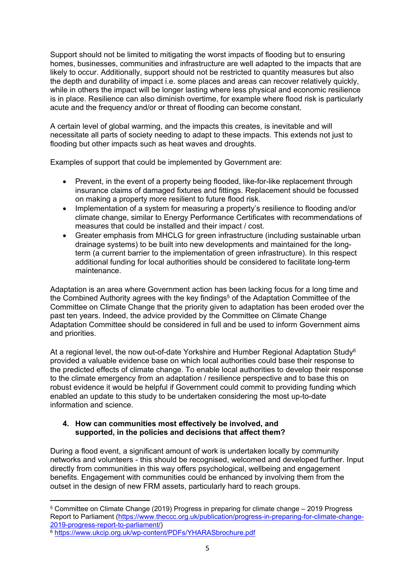Support should not be limited to mitigating the worst impacts of flooding but to ensuring homes, businesses, communities and infrastructure are well adapted to the impacts that are likely to occur. Additionally, support should not be restricted to quantity measures but also the depth and durability of impact i.e. some places and areas can recover relatively quickly, while in others the impact will be longer lasting where less physical and economic resilience is in place. Resilience can also diminish overtime, for example where flood risk is particularly acute and the frequency and/or or threat of flooding can become constant.

A certain level of global warming, and the impacts this creates, is inevitable and will necessitate all parts of society needing to adapt to these impacts. This extends not just to flooding but other impacts such as heat waves and droughts.

Examples of support that could be implemented by Government are:

- Prevent, in the event of a property being flooded, like-for-like replacement through insurance claims of damaged fixtures and fittings. Replacement should be focussed on making a property more resilient to future flood risk.
- Implementation of a system for measuring a property's resilience to flooding and/or climate change, similar to Energy Performance Certificates with recommendations of measures that could be installed and their impact / cost.
- Greater emphasis from MHCLG for green infrastructure (including sustainable urban drainage systems) to be built into new developments and maintained for the longterm (a current barrier to the implementation of green infrastructure). In this respect additional funding for local authorities should be considered to facilitate long-term maintenance.

Adaptation is an area where Government action has been lacking focus for a long time and the Combined Authority agrees with the key findings<sup>5</sup> of the Adaptation Committee of the Committee on Climate Change that the priority given to adaptation has been eroded over the past ten years. Indeed, the advice provided by the Committee on Climate Change Adaptation Committee should be considered in full and be used to inform Government aims and priorities.

At a regional level, the now out-of-date Yorkshire and Humber Regional Adaptation Study<sup>6</sup> provided a valuable evidence base on which local authorities could base their response to the predicted effects of climate change. To enable local authorities to develop their response to the climate emergency from an adaptation / resilience perspective and to base this on robust evidence it would be helpful if Government could commit to providing funding which enabled an update to this study to be undertaken considering the most up-to-date information and science.

### **4. How can communities most effectively be involved, and supported, in the policies and decisions that affect them?**

During a flood event, a significant amount of work is undertaken locally by community networks and volunteers - this should be recognised, welcomed and developed further. Input directly from communities in this way offers psychological, wellbeing and engagement benefits. Engagement with communities could be enhanced by involving them from the outset in the design of new FRM assets, particularly hard to reach groups.

<sup>5</sup> Committee on Climate Change (2019) Progress in preparing for climate change – 2019 Progress Report to Parliament ([https://www.theccc.org.uk/publication/progress-in-preparing-for-climate-change-](https://www.theccc.org.uk/publication/progress-in-preparing-for-climate-change-2019-progress-report-to-parliament/)[2019-progress-report-to-parliament/](https://www.theccc.org.uk/publication/progress-in-preparing-for-climate-change-2019-progress-report-to-parliament/))

<sup>&</sup>lt;sup>6</sup> <https://www.ukcip.org.uk/wp-content/PDFs/YHARASbrochure.pdf>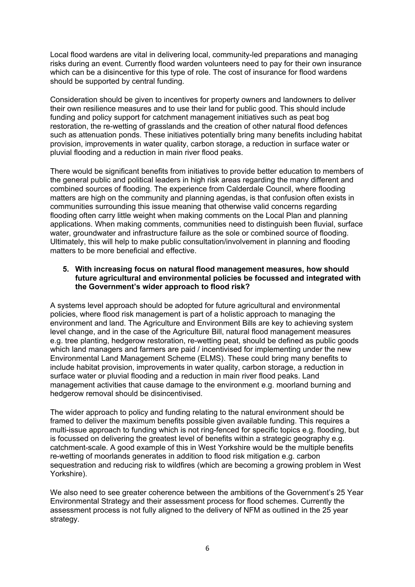Local flood wardens are vital in delivering local, community-led preparations and managing risks during an event. Currently flood warden volunteers need to pay for their own insurance which can be a disincentive for this type of role. The cost of insurance for flood wardens should be supported by central funding.

Consideration should be given to incentives for property owners and landowners to deliver their own resilience measures and to use their land for public good. This should include funding and policy support for catchment management initiatives such as peat bog restoration, the re-wetting of grasslands and the creation of other natural flood defences such as attenuation ponds. These initiatives potentially bring many benefits including habitat provision, improvements in water quality, carbon storage, a reduction in surface water or pluvial flooding and a reduction in main river flood peaks.

There would be significant benefits from initiatives to provide better education to members of the general public and political leaders in high risk areas regarding the many different and combined sources of flooding. The experience from Calderdale Council, where flooding matters are high on the community and planning agendas, is that confusion often exists in communities surrounding this issue meaning that otherwise valid concerns regarding flooding often carry little weight when making comments on the Local Plan and planning applications. When making comments, communities need to distinguish been fluvial, surface water, groundwater and infrastructure failure as the sole or combined source of flooding. Ultimately, this will help to make public consultation/involvement in planning and flooding matters to be more beneficial and effective.

#### **5. With increasing focus on natural flood management measures, how should future agricultural and environmental policies be focussed and integrated with the Government's wider approach to flood risk?**

A systems level approach should be adopted for future agricultural and environmental policies, where flood risk management is part of a holistic approach to managing the environment and land. The Agriculture and Environment Bills are key to achieving system level change, and in the case of the Agriculture Bill, natural flood management measures e.g. tree planting, hedgerow restoration, re-wetting peat, should be defined as public goods which land managers and farmers are paid / incentivised for implementing under the new Environmental Land Management Scheme (ELMS). These could bring many benefits to include habitat provision, improvements in water quality, carbon storage, a reduction in surface water or pluvial flooding and a reduction in main river flood peaks. Land management activities that cause damage to the environment e.g. moorland burning and hedgerow removal should be disincentivised.

The wider approach to policy and funding relating to the natural environment should be framed to deliver the maximum benefits possible given available funding. This requires a multi-issue approach to funding which is not ring-fenced for specific topics e.g. flooding, but is focussed on delivering the greatest level of benefits within a strategic geography e.g. catchment-scale. A good example of this in West Yorkshire would be the multiple benefits re-wetting of moorlands generates in addition to flood risk mitigation e.g. carbon sequestration and reducing risk to wildfires (which are becoming a growing problem in West Yorkshire).

We also need to see greater coherence between the ambitions of the Government's 25 Year Environmental Strategy and their assessment process for flood schemes. Currently the assessment process is not fully aligned to the delivery of NFM as outlined in the 25 year strategy.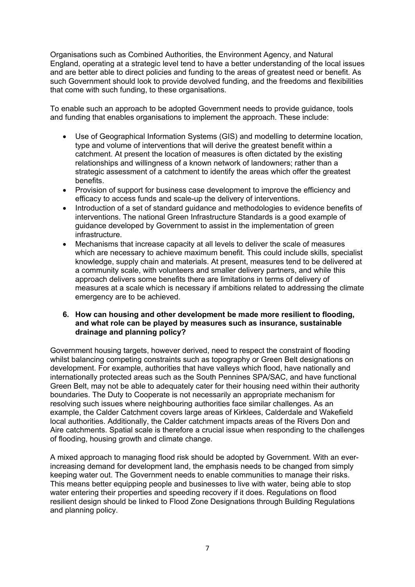Organisations such as Combined Authorities, the Environment Agency, and Natural England, operating at a strategic level tend to have a better understanding of the local issues and are better able to direct policies and funding to the areas of greatest need or benefit. As such Government should look to provide devolved funding, and the freedoms and flexibilities that come with such funding, to these organisations.

To enable such an approach to be adopted Government needs to provide guidance, tools and funding that enables organisations to implement the approach. These include:

- Use of Geographical Information Systems (GIS) and modelling to determine location, type and volume of interventions that will derive the greatest benefit within a catchment. At present the location of measures is often dictated by the existing relationships and willingness of a known network of landowners; rather than a strategic assessment of a catchment to identify the areas which offer the greatest benefits.
- Provision of support for business case development to improve the efficiency and efficacy to access funds and scale-up the delivery of interventions.
- Introduction of a set of standard guidance and methodologies to evidence benefits of interventions. The national Green Infrastructure Standards is a good example of guidance developed by Government to assist in the implementation of green infrastructure.
- Mechanisms that increase capacity at all levels to deliver the scale of measures which are necessary to achieve maximum benefit. This could include skills, specialist knowledge, supply chain and materials. At present, measures tend to be delivered at a community scale, with volunteers and smaller delivery partners, and while this approach delivers some benefits there are limitations in terms of delivery of measures at a scale which is necessary if ambitions related to addressing the climate emergency are to be achieved.

#### **6. How can housing and other development be made more resilient to flooding, and what role can be played by measures such as insurance, sustainable drainage and planning policy?**

Government housing targets, however derived, need to respect the constraint of flooding whilst balancing competing constraints such as topography or Green Belt designations on development. For example, authorities that have valleys which flood, have nationally and internationally protected areas such as the South Pennines SPA/SAC, and have functional Green Belt, may not be able to adequately cater for their housing need within their authority boundaries. The Duty to Cooperate is not necessarily an appropriate mechanism for resolving such issues where neighbouring authorities face similar challenges. As an example, the Calder Catchment covers large areas of Kirklees, Calderdale and Wakefield local authorities. Additionally, the Calder catchment impacts areas of the Rivers Don and Aire catchments. Spatial scale is therefore a crucial issue when responding to the challenges of flooding, housing growth and climate change.

A mixed approach to managing flood risk should be adopted by Government. With an everincreasing demand for development land, the emphasis needs to be changed from simply keeping water out. The Government needs to enable communities to manage their risks. This means better equipping people and businesses to live with water, being able to stop water entering their properties and speeding recovery if it does. Regulations on flood resilient design should be linked to Flood Zone Designations through Building Regulations and planning policy.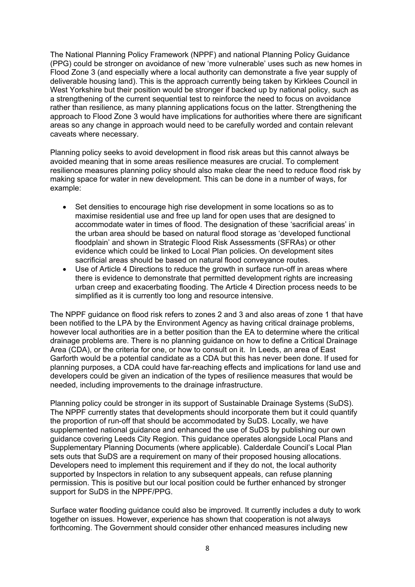The National Planning Policy Framework (NPPF) and national Planning Policy Guidance (PPG) could be stronger on avoidance of new 'more vulnerable' uses such as new homes in Flood Zone 3 (and especially where a local authority can demonstrate a five year supply of deliverable housing land). This is the approach currently being taken by Kirklees Council in West Yorkshire but their position would be stronger if backed up by national policy, such as a strengthening of the current sequential test to reinforce the need to focus on avoidance rather than resilience, as many planning applications focus on the latter. Strengthening the approach to Flood Zone 3 would have implications for authorities where there are significant areas so any change in approach would need to be carefully worded and contain relevant caveats where necessary.

Planning policy seeks to avoid development in flood risk areas but this cannot always be avoided meaning that in some areas resilience measures are crucial. To complement resilience measures planning policy should also make clear the need to reduce flood risk by making space for water in new development. This can be done in a number of ways, for example:

- Set densities to encourage high rise development in some locations so as to maximise residential use and free up land for open uses that are designed to accommodate water in times of flood. The designation of these 'sacrificial areas' in the urban area should be based on natural flood storage as 'developed functional floodplain' and shown in Strategic Flood Risk Assessments (SFRAs) or other evidence which could be linked to Local Plan policies. On development sites sacrificial areas should be based on natural flood conveyance routes.
- Use of Article 4 Directions to reduce the growth in surface run-off in areas where there is evidence to demonstrate that permitted development rights are increasing urban creep and exacerbating flooding. The Article 4 Direction process needs to be simplified as it is currently too long and resource intensive.

The NPPF guidance on flood risk refers to zones 2 and 3 and also areas of zone 1 that have been notified to the LPA by the Environment Agency as having critical drainage problems, however local authorities are in a better position than the EA to determine where the critical drainage problems are. There is no planning guidance on how to define a Critical Drainage Area (CDA), or the criteria for one, or how to consult on it. In Leeds, an area of East Garforth would be a potential candidate as a CDA but this has never been done. If used for planning purposes, a CDA could have far-reaching effects and implications for land use and developers could be given an indication of the types of resilience measures that would be needed, including improvements to the drainage infrastructure.

Planning policy could be stronger in its support of Sustainable Drainage Systems (SuDS). The NPPF currently states that developments should incorporate them but it could quantify the proportion of run-off that should be accommodated by SuDS. Locally, we have supplemented national guidance and enhanced the use of SuDS by publishing our own guidance covering Leeds City Region. This guidance operates alongside Local Plans and Supplementary Planning Documents (where applicable). Calderdale Council's Local Plan sets outs that SuDS are a requirement on many of their proposed housing allocations. Developers need to implement this requirement and if they do not, the local authority supported by Inspectors in relation to any subsequent appeals, can refuse planning permission. This is positive but our local position could be further enhanced by stronger support for SuDS in the NPPF/PPG.

Surface water flooding guidance could also be improved. It currently includes a duty to work together on issues. However, experience has shown that cooperation is not always forthcoming. The Government should consider other enhanced measures including new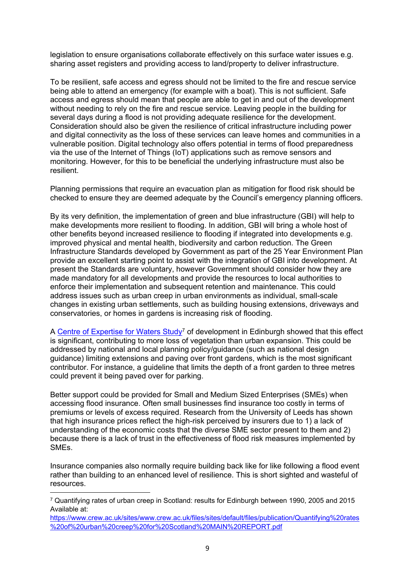legislation to ensure organisations collaborate effectively on this surface water issues e.g. sharing asset registers and providing access to land/property to deliver infrastructure.

To be resilient, safe access and egress should not be limited to the fire and rescue service being able to attend an emergency (for example with a boat). This is not sufficient. Safe access and egress should mean that people are able to get in and out of the development without needing to rely on the fire and rescue service. Leaving people in the building for several days during a flood is not providing adequate resilience for the development. Consideration should also be given the resilience of critical infrastructure including power and digital connectivity as the loss of these services can leave homes and communities in a vulnerable position. Digital technology also offers potential in terms of flood preparedness via the use of the Internet of Things (IoT) applications such as remove sensors and monitoring. However, for this to be beneficial the underlying infrastructure must also be resilient.

Planning permissions that require an evacuation plan as mitigation for flood risk should be checked to ensure they are deemed adequate by the Council's emergency planning officers.

By its very definition, the implementation of green and blue infrastructure (GBI) will help to make developments more resilient to flooding. In addition, GBI will bring a whole host of other benefits beyond increased resilience to flooding if integrated into developments e.g. improved physical and mental health, biodiversity and carbon reduction. The Green Infrastructure Standards developed by Government as part of the 25 Year Environment Plan provide an excellent starting point to assist with the integration of GBI into development. At present the Standards are voluntary, however Government should consider how they are made mandatory for all developments and provide the resources to local authorities to enforce their implementation and subsequent retention and maintenance. This could address issues such as urban creep in urban environments as individual, small-scale changes in existing urban settlements, such as building housing extensions, driveways and conservatories, or homes in gardens is increasing risk of flooding.

A [Centre](https://www.crew.ac.uk/sites/www.crew.ac.uk/files/sites/default/files/publication/Quantifying%20rates%20of%20urban%20creep%20for%20Scotland%20MAIN%20REPORT.pdf) [of](https://www.crew.ac.uk/sites/www.crew.ac.uk/files/sites/default/files/publication/Quantifying%20rates%20of%20urban%20creep%20for%20Scotland%20MAIN%20REPORT.pdf) [Expertise](https://www.crew.ac.uk/sites/www.crew.ac.uk/files/sites/default/files/publication/Quantifying%20rates%20of%20urban%20creep%20for%20Scotland%20MAIN%20REPORT.pdf) [for](https://www.crew.ac.uk/sites/www.crew.ac.uk/files/sites/default/files/publication/Quantifying%20rates%20of%20urban%20creep%20for%20Scotland%20MAIN%20REPORT.pdf) [Waters](https://www.crew.ac.uk/sites/www.crew.ac.uk/files/sites/default/files/publication/Quantifying%20rates%20of%20urban%20creep%20for%20Scotland%20MAIN%20REPORT.pdf) [Study](https://www.crew.ac.uk/sites/www.crew.ac.uk/files/sites/default/files/publication/Quantifying%20rates%20of%20urban%20creep%20for%20Scotland%20MAIN%20REPORT.pdf)<sup>7</sup> of development in Edinburgh showed that this effect is significant, contributing to more loss of vegetation than urban expansion. This could be addressed by national and local planning policy/guidance (such as national design guidance) limiting extensions and paving over front gardens, which is the most significant contributor. For instance, a guideline that limits the depth of a front garden to three metres could prevent it being paved over for parking.

Better support could be provided for Small and Medium Sized Enterprises (SMEs) when accessing flood insurance. Often small businesses find insurance too costly in terms of premiums or levels of excess required. Research from the University of Leeds has shown that high insurance prices reflect the high-risk perceived by insurers due to 1) a lack of understanding of the economic costs that the diverse SME sector present to them and 2) because there is a lack of trust in the effectiveness of flood risk measures implemented by SMEs.

Insurance companies also normally require building back like for like following a flood event rather than building to an enhanced level of resilience. This is short sighted and wasteful of resources.

[https://www.crew.ac.uk/sites/www.crew.ac.uk/files/sites/default/files/publication/Quantifying%20rates](https://www.crew.ac.uk/sites/www.crew.ac.uk/files/sites/default/files/publication/Quantifying%20rates%20of%20urban%20creep%20for%20Scotland%20MAIN%20REPORT.pdf) [%20of%20urban%20creep%20for%20Scotland%20MAIN%20REPORT.pdf](https://www.crew.ac.uk/sites/www.crew.ac.uk/files/sites/default/files/publication/Quantifying%20rates%20of%20urban%20creep%20for%20Scotland%20MAIN%20REPORT.pdf)

<sup>7</sup> Quantifying rates of urban creep in Scotland: results for Edinburgh between 1990, 2005 and 2015 Available at: